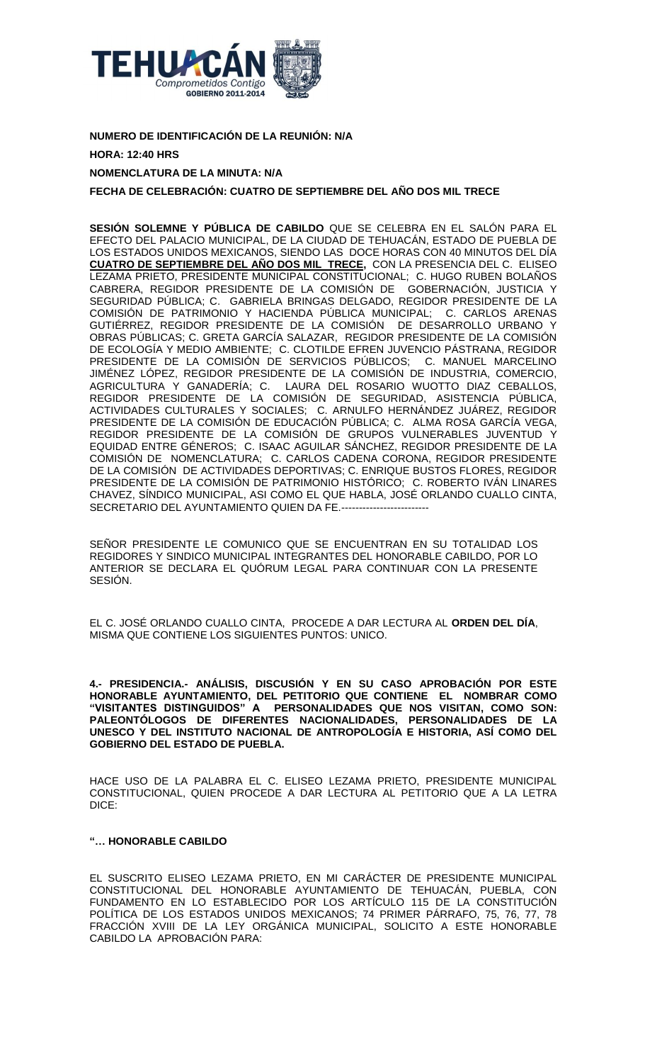

**NUMERO DE IDENTIFICACIÓN DE LA REUNIÓN: N/A HORA: 12:40 HRS**

# **NOMENCLATURA DE LA MINUTA: N/A**

**FECHA DE CELEBRACIÓN: CUATRO DE SEPTIEMBRE DEL AÑO DOS MIL TRECE**

**SESIÓN SOLEMNE Y PÚBLICA DE CABILDO** QUE SE CELEBRA EN EL SALÓN PARA EL EFECTO DEL PALACIO MUNICIPAL, DE LA CIUDAD DE TEHUACÁN, ESTADO DE PUEBLA DE LOS ESTADOS UNIDOS MEXICANOS, SIENDO LAS DOCE HORAS CON 40 MINUTOS DEL DÍA **CUATRO DE SEPTIEMBRE DEL AÑO DOS MIL TRECE,** CON LA PRESENCIA DEL C. ELISEO LEZAMA PRIETO, PRESIDENTE MUNICIPAL CONSTITUCIONAL; C. HUGO RUBEN BOLAÑOS CABRERA, REGIDOR PRESIDENTE DE LA COMISIÓN DE GOBERNACIÓN, JUSTICIA Y SEGURIDAD PÚBLICA; C. GABRIELA BRINGAS DELGADO, REGIDOR PRESIDENTE DE LA COMISIÓN DE PATRIMONIO Y HACIENDA PÚBLICA MUNICIPAL; C. CARLOS ARENAS GUTIÉRREZ, REGIDOR PRESIDENTE DE LA COMISIÓN DE DESARROLLO URBANO Y OBRAS PÚBLICAS; C. GRETA GARCÍA SALAZAR, REGIDOR PRESIDENTE DE LA COMISIÓN DE ECOLOGÍA Y MEDIO AMBIENTE; C. CLOTILDE EFREN JUVENCIO PÁSTRANA, REGIDOR PRESIDENTE DE LA COMISIÓN DE SERVICIOS PÚBLICOS; C. MANUEL MARCELINO JIMÉNEZ LÓPEZ, REGIDOR PRESIDENTE DE LA COMISIÓN DE INDUSTRIA, COMERCIO, AGRICULTURA Y GANADERÍA; C. LAURA DEL ROSARIO WUOTTO DIAZ CEBALLOS, REGIDOR PRESIDENTE DE LA COMISIÓN DE SEGURIDAD, ASISTENCIA PÚBLICA, ACTIVIDADES CULTURALES Y SOCIALES; C. ARNULFO HERNÁNDEZ JUÁREZ, REGIDOR PRESIDENTE DE LA COMISIÓN DE EDUCACIÓN PÚBLICA; C. ALMA ROSA GARCÍA VEGA, REGIDOR PRESIDENTE DE LA COMISIÓN DE GRUPOS VULNERABLES JUVENTUD Y EQUIDAD ENTRE GÉNEROS; C. ISAAC AGUILAR SÁNCHEZ, REGIDOR PRESIDENTE DE LA COMISIÓN DE NOMENCLATURA; C. CARLOS CADENA CORONA, REGIDOR PRESIDENTE DE LA COMISIÓN DE ACTIVIDADES DEPORTIVAS; C. ENRIQUE BUSTOS FLORES, REGIDOR PRESIDENTE DE LA COMISIÓN DE PATRIMONIO HISTÓRICO; C. ROBERTO IVÁN LINARES CHAVEZ, SÍNDICO MUNICIPAL, ASI COMO EL QUE HABLA, JOSÉ ORLANDO CUALLO CINTA, SECRETARIO DEL AYUNTAMIENTO QUIEN DA FE.-----

SEÑOR PRESIDENTE LE COMUNICO QUE SE ENCUENTRAN EN SU TOTALIDAD LOS REGIDORES Y SINDICO MUNICIPAL INTEGRANTES DEL HONORABLE CABILDO, POR LO ANTERIOR SE DECLARA EL QUÓRUM LEGAL PARA CONTINUAR CON LA PRESENTE SESIÓN.

EL C. JOSÉ ORLANDO CUALLO CINTA, PROCEDE A DAR LECTURA AL **ORDEN DEL DÍA**, MISMA QUE CONTIENE LOS SIGUIENTES PUNTOS: UNICO.

**4.- PRESIDENCIA.- ANÁLISIS, DISCUSIÓN Y EN SU CASO APROBACIÓN POR ESTE HONORABLE AYUNTAMIENTO, DEL PETITORIO QUE CONTIENE EL NOMBRAR COMO "VISITANTES DISTINGUIDOS" A PERSONALIDADES QUE NOS VISITAN, COMO SON: PALEONTÓLOGOS DE DIFERENTES NACIONALIDADES, PERSONALIDADES DE LA UNESCO Y DEL INSTITUTO NACIONAL DE ANTROPOLOGÍA E HISTORIA, ASÍ COMO DEL GOBIERNO DEL ESTADO DE PUEBLA.**

HACE USO DE LA PALABRA EL C. ELISEO LEZAMA PRIETO, PRESIDENTE MUNICIPAL CONSTITUCIONAL, QUIEN PROCEDE A DAR LECTURA AL PETITORIO QUE A LA LETRA DICE:

## **"… HONORABLE CABILDO**

EL SUSCRITO ELISEO LEZAMA PRIETO, EN MI CARÁCTER DE PRESIDENTE MUNICIPAL CONSTITUCIONAL DEL HONORABLE AYUNTAMIENTO DE TEHUACÁN, PUEBLA, CON FUNDAMENTO EN LO ESTABLECIDO POR LOS ARTÍCULO 115 DE LA CONSTITUCIÓN POLÍTICA DE LOS ESTADOS UNIDOS MEXICANOS; 74 PRIMER PÁRRAFO, 75, 76, 77, 78 FRACCIÓN XVIII DE LA LEY ORGÁNICA MUNICIPAL, SOLICITO A ESTE HONORABLE CABILDO LA APROBACIÓN PARA: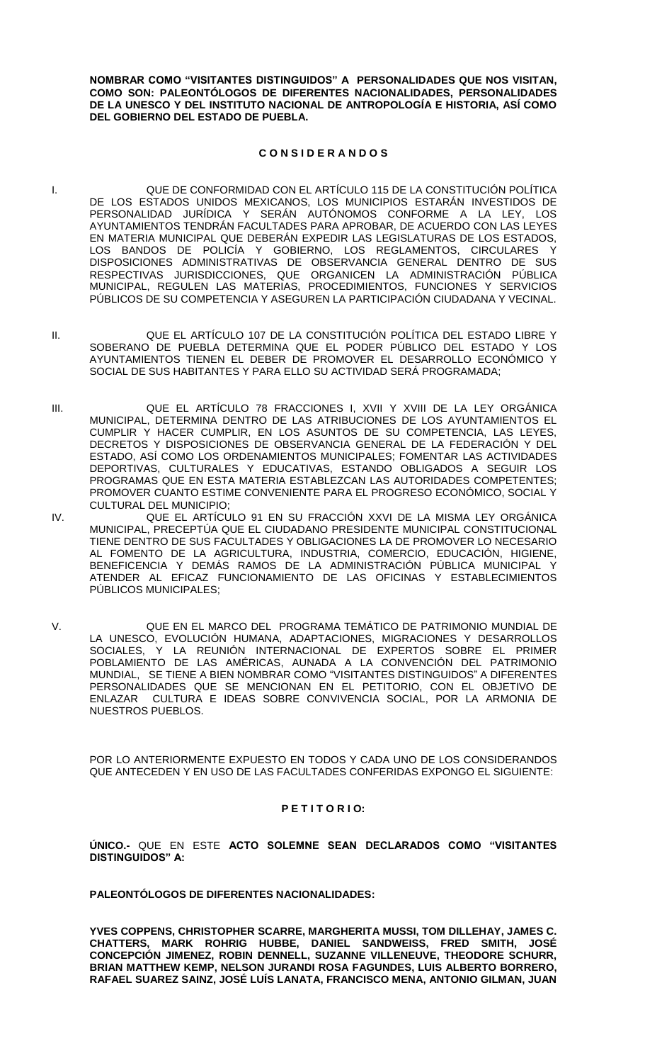**NOMBRAR COMO "VISITANTES DISTINGUIDOS" A PERSONALIDADES QUE NOS VISITAN, COMO SON: PALEONTÓLOGOS DE DIFERENTES NACIONALIDADES, PERSONALIDADES DE LA UNESCO Y DEL INSTITUTO NACIONAL DE ANTROPOLOGÍA E HISTORIA, ASÍ COMO DEL GOBIERNO DEL ESTADO DE PUEBLA.**

### **C O N S I D E R A N D O S**

- I. QUE DE CONFORMIDAD CON EL ARTÍCULO 115 DE LA CONSTITUCIÓN POLÍTICA DE LOS ESTADOS UNIDOS MEXICANOS, LOS MUNICIPIOS ESTARÁN INVESTIDOS DE PERSONALIDAD JURÍDICA Y SERÁN AUTÓNOMOS CONFORME A LA LEY, LOS AYUNTAMIENTOS TENDRÁN FACULTADES PARA APROBAR, DE ACUERDO CON LAS LEYES EN MATERIA MUNICIPAL QUE DEBERÁN EXPEDIR LAS LEGISLATURAS DE LOS ESTADOS, LOS BANDOS DE POLICÍA Y GOBIERNO, LOS REGLAMENTOS, CIRCULARES Y DISPOSICIONES ADMINISTRATIVAS DE OBSERVANCIA GENERAL DENTRO DE SUS RESPECTIVAS JURISDICCIONES, QUE ORGANICEN LA ADMINISTRACIÓN PÚBLICA MUNICIPAL, REGULEN LAS MATERIAS, PROCEDIMIENTOS, FUNCIONES Y SERVICIOS PÚBLICOS DE SU COMPETENCIA Y ASEGUREN LA PARTICIPACIÓN CIUDADANA Y VECINAL.
- II. QUE EL ARTÍCULO 107 DE LA CONSTITUCIÓN POLÍTICA DEL ESTADO LIBRE Y SOBERANO DE PUEBLA DETERMINA QUE EL PODER PÚBLICO DEL ESTADO Y LOS AYUNTAMIENTOS TIENEN EL DEBER DE PROMOVER EL DESARROLLO ECONÓMICO Y SOCIAL DE SUS HABITANTES Y PARA ELLO SU ACTIVIDAD SERÁ PROGRAMADA;
- III. QUE EL ARTÍCULO 78 FRACCIONES I, XVII Y XVIII DE LA LEY ORGÁNICA MUNICIPAL, DETERMINA DENTRO DE LAS ATRIBUCIONES DE LOS AYUNTAMIENTOS EL CUMPLIR Y HACER CUMPLIR, EN LOS ASUNTOS DE SU COMPETENCIA, LAS LEYES, DECRETOS Y DISPOSICIONES DE OBSERVANCIA GENERAL DE LA FEDERACIÓN Y DEL ESTADO, ASÍ COMO LOS ORDENAMIENTOS MUNICIPALES; FOMENTAR LAS ACTIVIDADES DEPORTIVAS, CULTURALES Y EDUCATIVAS, ESTANDO OBLIGADOS A SEGUIR LOS PROGRAMAS QUE EN ESTA MATERIA ESTABLEZCAN LAS AUTORIDADES COMPETENTES; PROMOVER CUANTO ESTIME CONVENIENTE PARA EL PROGRESO ECONÓMICO, SOCIAL Y CULTURAL DEL MUNICIPIO;
- IV. QUE EL ARTÍCULO 91 EN SU FRACCIÓN XXVI DE LA MISMA LEY ORGÁNICA MUNICIPAL, PRECEPTÚA QUE EL CIUDADANO PRESIDENTE MUNICIPAL CONSTITUCIONAL TIENE DENTRO DE SUS FACULTADES Y OBLIGACIONES LA DE PROMOVER LO NECESARIO AL FOMENTO DE LA AGRICULTURA, INDUSTRIA, COMERCIO, EDUCACIÓN, HIGIENE, BENEFICENCIA Y DEMÁS RAMOS DE LA ADMINISTRACIÓN PÚBLICA MUNICIPAL Y ATENDER AL EFICAZ FUNCIONAMIENTO DE LAS OFICINAS Y ESTABLECIMIENTOS PÚBLICOS MUNICIPALES;
- V. QUE EN EL MARCO DEL PROGRAMA TEMÁTICO DE PATRIMONIO MUNDIAL DE LA UNESCO, EVOLUCIÓN HUMANA, ADAPTACIONES, MIGRACIONES Y DESARROLLOS SOCIALES, Y LA REUNIÓN INTERNACIONAL DE EXPERTOS SOBRE EL PRIMER POBLAMIENTO DE LAS AMÉRICAS, AUNADA A LA CONVENCIÓN DEL PATRIMONIO MUNDIAL, SE TIENE A BIEN NOMBRAR COMO "VISITANTES DISTINGUIDOS" A DIFERENTES PERSONALIDADES QUE SE MENCIONAN EN EL PETITORIO, CON EL OBJETIVO DE ENLAZAR CULTURA E IDEAS SOBRE CONVIVENCIA SOCIAL, POR LA ARMONIA DE NUESTROS PUEBLOS.

POR LO ANTERIORMENTE EXPUESTO EN TODOS Y CADA UNO DE LOS CONSIDERANDOS QUE ANTECEDEN Y EN USO DE LAS FACULTADES CONFERIDAS EXPONGO EL SIGUIENTE:

#### **P E T I T O R I O:**

**ÚNICO.-** QUE EN ESTE **ACTO SOLEMNE SEAN DECLARADOS COMO "VISITANTES DISTINGUIDOS" A:**

**PALEONTÓLOGOS DE DIFERENTES NACIONALIDADES:** 

**YVES COPPENS, CHRISTOPHER SCARRE, MARGHERITA MUSSI, TOM DILLEHAY, JAMES C. CHATTERS, MARK ROHRIG HUBBE, DANIEL SANDWEISS, FRED SMITH, JOSÉ CONCEPCIÓN JIMENEZ, ROBIN DENNELL, SUZANNE VILLENEUVE, THEODORE SCHURR, BRIAN MATTHEW KEMP, NELSON JURANDI ROSA FAGUNDES, LUIS ALBERTO BORRERO, RAFAEL SUAREZ SAINZ, JOSÉ LUÍS LANATA, FRANCISCO MENA, ANTONIO GILMAN, JUAN**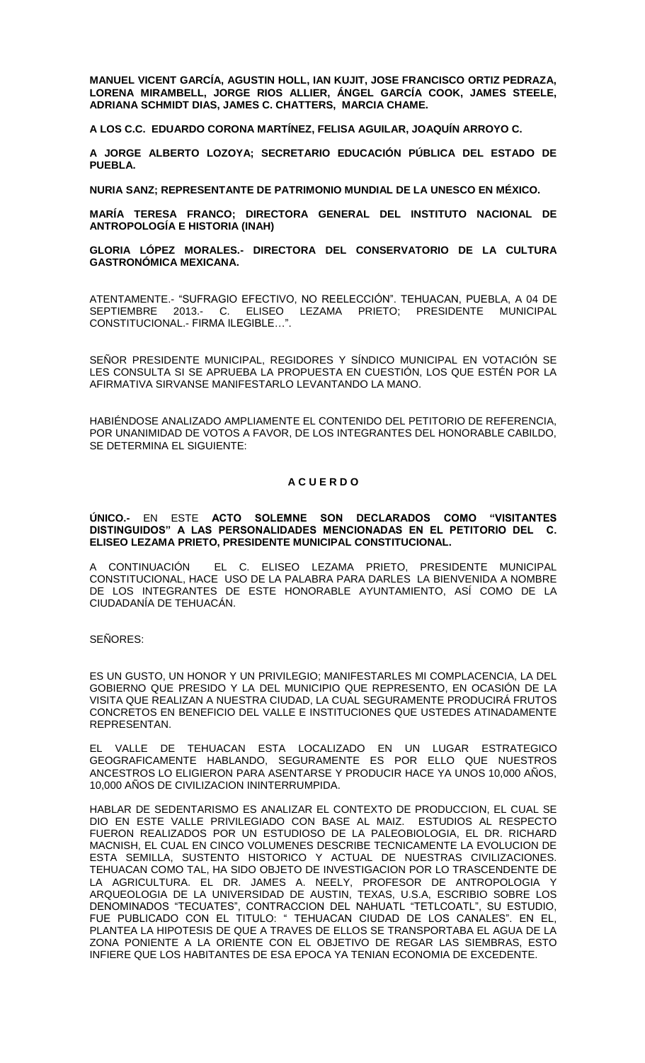**MANUEL VICENT GARCÍA, AGUSTIN HOLL, IAN KUJIT, JOSE FRANCISCO ORTIZ PEDRAZA, LORENA MIRAMBELL, JORGE RIOS ALLIER, ÁNGEL GARCÍA COOK, JAMES STEELE, ADRIANA SCHMIDT DIAS, JAMES C. CHATTERS, MARCIA CHAME.**

**A LOS C.C. EDUARDO CORONA MARTÍNEZ, FELISA AGUILAR, JOAQUÍN ARROYO C.**

**A JORGE ALBERTO LOZOYA; SECRETARIO EDUCACIÓN PÚBLICA DEL ESTADO DE PUEBLA.**

**NURIA SANZ; REPRESENTANTE DE PATRIMONIO MUNDIAL DE LA UNESCO EN MÉXICO.**

**MARÍA TERESA FRANCO; DIRECTORA GENERAL DEL INSTITUTO NACIONAL DE ANTROPOLOGÍA E HISTORIA (INAH)** 

**GLORIA LÓPEZ MORALES.- DIRECTORA DEL CONSERVATORIO DE LA CULTURA GASTRONÓMICA MEXICANA.**

ATENTAMENTE.- "SUFRAGIO EFECTIVO, NO REELECCIÓN". TEHUACAN, PUEBLA, A 04 DE SEPTIEMBRE 2013.- C. ELISEO LEZAMA PRIETO; PRESIDENTE MUNICIPAL CONSTITUCIONAL.- FIRMA ILEGIBLE…".

SEÑOR PRESIDENTE MUNICIPAL, REGIDORES Y SÍNDICO MUNICIPAL EN VOTACIÓN SE LES CONSULTA SI SE APRUEBA LA PROPUESTA EN CUESTIÓN, LOS QUE ESTÉN POR LA AFIRMATIVA SIRVANSE MANIFESTARLO LEVANTANDO LA MANO.

HABIÉNDOSE ANALIZADO AMPLIAMENTE EL CONTENIDO DEL PETITORIO DE REFERENCIA, POR UNANIMIDAD DE VOTOS A FAVOR, DE LOS INTEGRANTES DEL HONORABLE CABILDO, SE DETERMINA EL SIGUIENTE:

#### **A C U E R D O**

#### **ÚNICO.-** EN ESTE **ACTO SOLEMNE SON DECLARADOS COMO "VISITANTES DISTINGUIDOS" A LAS PERSONALIDADES MENCIONADAS EN EL PETITORIO DEL C. ELISEO LEZAMA PRIETO, PRESIDENTE MUNICIPAL CONSTITUCIONAL.**

A CONTINUACIÓN EL C. ELISEO LEZAMA PRIETO, PRESIDENTE MUNICIPAL CONSTITUCIONAL, HACE USO DE LA PALABRA PARA DARLES LA BIENVENIDA A NOMBRE DE LOS INTEGRANTES DE ESTE HONORABLE AYUNTAMIENTO, ASÍ COMO DE LA CIUDADANÍA DE TEHUACÁN.

SEÑORES:

ES UN GUSTO, UN HONOR Y UN PRIVILEGIO; MANIFESTARLES MI COMPLACENCIA, LA DEL GOBIERNO QUE PRESIDO Y LA DEL MUNICIPIO QUE REPRESENTO, EN OCASIÓN DE LA VISITA QUE REALIZAN A NUESTRA CIUDAD, LA CUAL SEGURAMENTE PRODUCIRÁ FRUTOS CONCRETOS EN BENEFICIO DEL VALLE E INSTITUCIONES QUE USTEDES ATINADAMENTE REPRESENTAN.

EL VALLE DE TEHUACAN ESTA LOCALIZADO EN UN LUGAR ESTRATEGICO GEOGRAFICAMENTE HABLANDO, SEGURAMENTE ES POR ELLO QUE NUESTROS ANCESTROS LO ELIGIERON PARA ASENTARSE Y PRODUCIR HACE YA UNOS 10,000 AÑOS, 10,000 AÑOS DE CIVILIZACION ININTERRUMPIDA.

HABLAR DE SEDENTARISMO ES ANALIZAR EL CONTEXTO DE PRODUCCION, EL CUAL SE DIO EN ESTE VALLE PRIVILEGIADO CON BASE AL MAIZ. ESTUDIOS AL RESPECTO FUERON REALIZADOS POR UN ESTUDIOSO DE LA PALEOBIOLOGIA, EL DR. RICHARD MACNISH, EL CUAL EN CINCO VOLUMENES DESCRIBE TECNICAMENTE LA EVOLUCION DE ESTA SEMILLA, SUSTENTO HISTORICO Y ACTUAL DE NUESTRAS CIVILIZACIONES. TEHUACAN COMO TAL, HA SIDO OBJETO DE INVESTIGACION POR LO TRASCENDENTE DE LA AGRICULTURA. EL DR. JAMES A. NEELY, PROFESOR DE ANTROPOLOGIA Y ARQUEOLOGIA DE LA UNIVERSIDAD DE AUSTIN, TEXAS, U.S.A, ESCRIBIO SOBRE LOS DENOMINADOS "TECUATES", CONTRACCION DEL NAHUATL "TETLCOATL", SU ESTUDIO, FUE PUBLICADO CON EL TITULO: " TEHUACAN CIUDAD DE LOS CANALES". EN EL, PLANTEA LA HIPOTESIS DE QUE A TRAVES DE ELLOS SE TRANSPORTABA EL AGUA DE LA ZONA PONIENTE A LA ORIENTE CON EL OBJETIVO DE REGAR LAS SIEMBRAS, ESTO INFIERE QUE LOS HABITANTES DE ESA EPOCA YA TENIAN ECONOMIA DE EXCEDENTE.